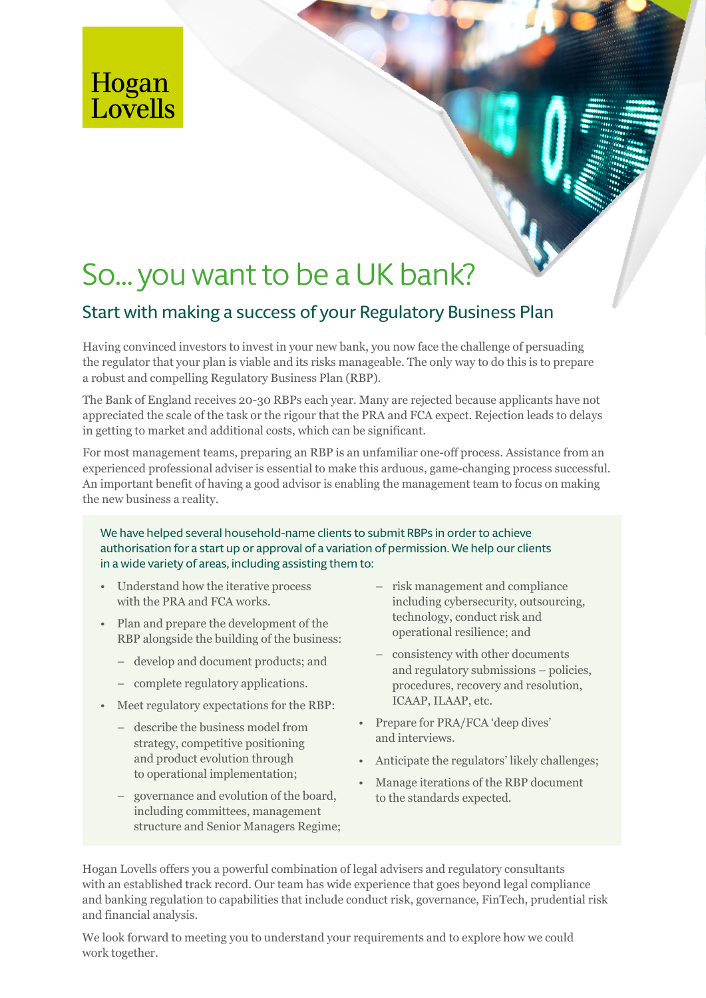**Hogan<br>Lovells** 

# So… you want to be a UK bank?

## Start with making a success of your Regulatory Business Plan

Having convinced investors to invest in your new bank, you now face the challenge of persuading the regulator that your plan is viable and its risks manageable. The only way to do this is to prepare a robust and compelling Regulatory Business Plan (RBP).

The Bank of England receives 20-30 RBPs each year. Many are rejected because applicants have not appreciated the scale of the task or the rigour that the PRA and FCA expect. Rejection leads to delays in getting to market and additional costs, which can be significant.

For most management teams, preparing an RBP is an unfamiliar one-off process. Assistance from an experienced professional adviser is essential to make this arduous, game-changing process successful. An important benefit of having a good advisor is enabling the management team to focus on making the new business a reality.

We have helped several household-name clients to submit RBPs in order to achieve authorisation for a start up or approval of a variation of permission. We help our clients in a wide variety of areas, including assisting them to:

- Understand how the iterative process with the PRA and FCA works.
- Plan and prepare the development of the RBP alongside the building of the business:
	- develop and document products; and
	- complete regulatory applications.
- Meet regulatory expectations for the RBP:
	- describe the business model from strategy, competitive positioning and product evolution through to operational implementation;
	- governance and evolution of the board, including committees, management structure and Senior Managers Regime;
- risk management and compliance including cybersecurity, outsourcing, technology, conduct risk and operational resilience; and
- consistency with other documents and regulatory submissions – policies, procedures, recovery and resolution, ICAAP, ILAAP, etc.
- Prepare for PRA/FCA 'deep dives' and interviews.
- Anticipate the regulators' likely challenges;
- Manage iterations of the RBP document to the standards expected.

Hogan Lovells offers you a powerful combination of legal advisers and regulatory consultants with an established track record. Our team has wide experience that goes beyond legal compliance and banking regulation to capabilities that include conduct risk, governance, FinTech, prudential risk and financial analysis.

We look forward to meeting you to understand your requirements and to explore how we could work together.